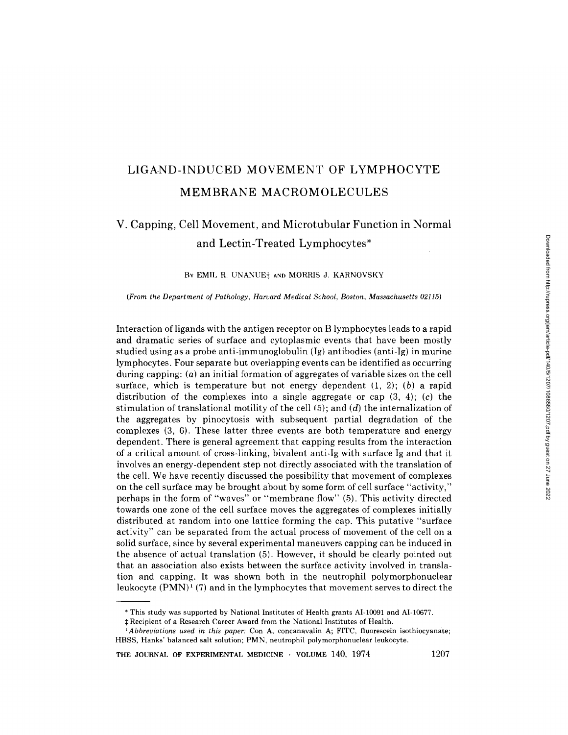# LIGAND-INDUCED MOVEMENT OF LYMPHOCYTE MEMBRANE MACROMOLECULES

## **V. Capping, Cell Movement, and Microtubular Function in Normal and Lectin-Treated Lymphocytes\***

### BY EMIL R. UNANUE‡ AND MORRIS J. KARNOVSKY

#### *(From the Department of Pathology, Harvard Medical School, Boston, Massachusetts 02115)*

Interaction of ligands with the antigen receptor on B lymphocytes leads to a rapid and dramatic series of surface and cytoplasmic events that have been mostly studied using as a probe anti-immunoglobulin (Ig) antibodies (anti-Ig) in murine lymphocytes. Four separate but overlapping events can be identified as occurring during capping: (a) an initial formation of aggregates of variable sizes on the cell surface, which is temperature but not energy dependent  $(1, 2)$ ;  $(b)$  a rapid distribution of the complexes into a single aggregate or cap  $(3, 4)$ ; (c) the stimulation of translational motility of the cell  $(5)$ ; and  $(d)$  the internalization of the aggregates by pinocytosis with subsequent partial degradation of the complexes  $(3, 6)$ . These latter three events are both temperature and energy dependent. There is general agreement that capping results from the interaction of a critical amount of cross-linking, bivalent anti-Ig with surface Ig and that it involves an energy-dependent step not directly associated with the translation of the cell. We have recently discussed the possibility that movement of complexes on the cell surface may be brought about by some form of cell surface "activity," perhaps in the form of "waves" or "membrane flow" (5). This activity directed towards one zone of the cell surface moves the aggregates of complexes initially distributed at random into one lattice forming the cap. This putative "surface activity" can be separated from the actual process of movement of the cell on a solid surface, since by several experimental maneuvers capping can be induced in the absence of actual translation (5). However, it should be clearly pointed out that an association also exists between the surface activity involved in translation and capping. It was shown both in the neutrophil polymorphonuclear leukocyte  $(PMN)^T$  (7) and in the lymphocytes that movement serves to direct the

<sup>\*</sup> This study was supported by National Institutes of Health grants AI-10091 and AI-10677.

Recipient of a Research Career Award from the National Institutes of Health.

*<sup>~</sup>Abbreviations used in this paper:* Con A, concanavalin A; FITC, fluorescein isothiocyanate; HBSS, Hanks' balanced salt solution; PMN, neutrophil polymorphonuclear leukocyte.

THE JOURNAL OF EXPERIMENTAL MEDICINE · VOLUME 140, 1974 1207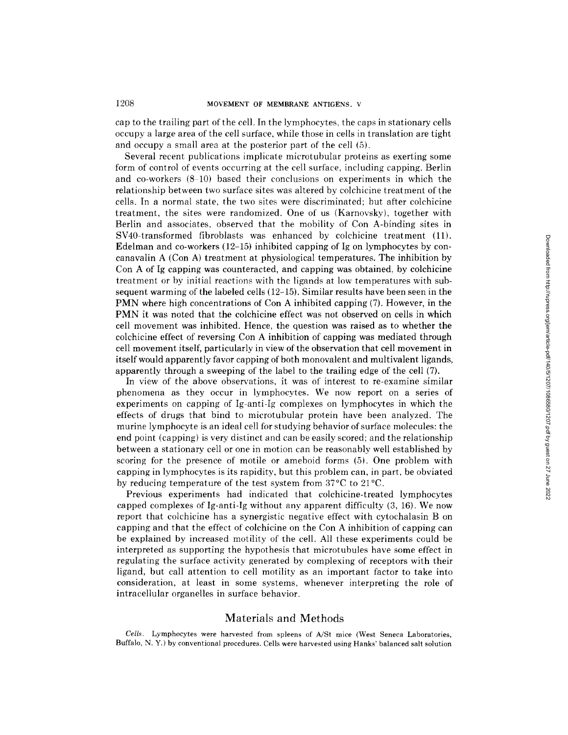cap to the trailing part of the cell. In the lymphocytes, the caps in stationary cells occupy a large area of the cell surface, while those in cells in translation are tight and occupy a small area at the posterior part of the cell (5).

Several recent publications implicate microtubular proteins as exerting some form of control of events occurring at the cell surface, including capping. Berlin and co-workers  $(8-10)$  based their conclusions on experiments in which the relationship between two surface sites was altered by colchicine treatment of the cells. In a normal state, the two sites were discriminated; but after colchicine treatment, the sites were randomized. One of us (Karnovsky), together with Berlin and associates, observed that the mobility of Con A-binding sites in SV40-transformed fibroblasts was enhanced by colchicine treatment (11). Edelman and co-workers  $(12-15)$  inhibited capping of Ig on lymphocytes by coneanavalin A (Con A) treatment at physiological temperatures. The inhibition by Con A of Ig capping was counteracted, and capping was obtained, by colchicine treatment or by initial reactions with the ligands at low temperatures with subsequent warming of the labeled cells (12-15). Similar results have been seen in the PMN where high concentrations of Con A inhibited capping (7). However, in the PMN it was noted that the colchicine effect was not observed on cells in which cell movement was inhibited. Hence, the question was raised as to whether the colchicine effect of reversing Con A inhibition of capping was mediated through cell movement itself, particularly in view of the observation that cell movement in itself would apparently favor capping of both monovalent and multivalent ligands, apparently through a sweeping of the label to the trailing edge of the cell (7).

In view of the above observations, it was of interest to re-examine similar phenomena as they occur in lymphocytes. We now report on a series of experiments on capping of Ig-anti-Ig complexes on lymphocytes in which the effects of drugs that bind to microtubular protein have been analyzed. The murine lymphocyte is an ideal cell for studying behavior of surface molecules: the end point (capping) is very distinct and can be easily scored; and the relationship between a stationary cell or one in motion can be reasonably well established by scoring for the presence of motile or ameboid forms (5). One problem with capping in lymphocytes is its rapidity, but this problem can, in part, be obviated by reducing temperature of the test system from 37°C to 21°C.

Previous experiments had indicated that colehicine-treated lymphocytes capped complexes of Ig-anti-Ig without any apparent difficulty (3, 16). We now report that colchicine has a synergistic negative effect with cytochalasin B on capping and that the effect of colchicine on the Con A inhibition of capping can be explained by increased motility of the cell. All these experiments could be interpreted as supporting the hypothesis that microtubules have some effect in regulating the surface activity generated by complexing of receptors with their ligand, but call attention to cell motility as an important factor to take into consideration, at least in some systems, whenever interpreting the role of intracellular organelles in surface behavior.

## Materials and Methods

*Cells.* Lymphocytes were harvested from spleens of A/St mice (West Seneca Laboratories, Buffalo, N. Y.) by conventional procedures. Cells were harvested using Hanks' balanced salt solution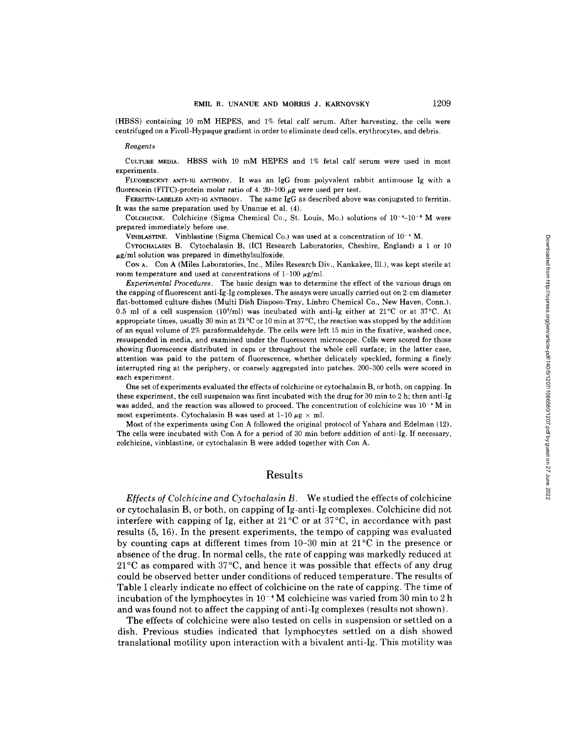(HBSS) containing 10 mM HEPES, and 1% fetal calf serum. After harvesting, the cells were centrifuged on a Ficoll-Hypaque gradient in order to eliminate dead cells, erythrocytes, and debris.

#### *Reagents*

CULTURE MEDIA. HBSS with 10 mM HEPES and 1% fetal calf serum were used in most experiments.

FLUORESCENT ANTI-IG ANTIBODY. It was an IgG from polyvalent rabbit antimouse Ig with a fluorescein (FITC)-protein molar ratio of 4. 20-100  $\mu$ g were used per test.

FERRITIN-LABELED ANTI-1G ANTIBODY. The same IgG as described above was conjugated to ferritin. It was the same preparation used by Unanue et al. (4).

COLCHICLNE. Colchicine (Sigma Chemical Co., St. Louis, Mo.) solutions of  $10^{-4}-10^{-6}$  M were prepared immediately before use.

VINBLASTINE. Vinblastine (Sigma Chemical Co.) was used at a concentration of  $10^{-4}$  M.

CYTOCHALAS|N B. Cytochalasin B, (ICI Research Laboratories, Cheshire, England) a 1 or 10  $\mu$ g/ml solution was prepared in dimethylsulfoxide.

CON h. Con A (Miles Laboratories, Inc., Miles Research Div., Kankakee, Ill.), was kept sterile at room temperature and used at concentrations of 1-100  $\mu$ g/ml.

*Experimental Procedures.* The basic design was to determine the effect of the various drugs on the capping of fluorescent anti-Ig-lg complexes. The assays were usually carried out on 2-cm diameter flat-bottomed culture dishes (Multi Dish Disposo-Tray, Linbro Chemical Co., New Haven, Conn.). 0.5 ml of a cell suspension (10<sup>7</sup>/ml) was incubated with anti-Ig either at 21<sup>°</sup>C or at 37<sup>°</sup>C. At appropriate times, usually 30 min at  $21^{\circ}$ C or 10 min at 37 $^{\circ}$ C, the reaction was stopped by the addition of an equal volume of 2% paraformaldehyde. The cells were left 15 min in the fixative, washed once, resuspended in media, and examined under the fluorescent microscope. Cells were scored for those showing fluorescence distributed in caps or throughout the whole cell surface; in the latter case, attention was paid to the pattern of fluorescence, whether delicately speckled, forming a finely interrupted ring at the periphery, or coarsely aggregated into patches. 200-300 cells were scored in each experiment.

One set of experiments evaluated the effects of colchicine or cytochalasin B, or both, on capping. In these experiment, the cell suspension was first incubated with the drug for 30 min to 2 h; then anti-Ig was added, and the reaction was allowed to proceed. The concentration of colchicine was  $10^{-4}$  M in most experiments. Cytochalasin B was used at  $1-10 \mu g \times ml$ .

Most of the experiments using Con A followed the original protocol of Yahara and Edelman (12). The cells were incubated with Con A for a period of 30 min before addition of anti-Ig. If necessary, colchicine, vinblastine, or cytochalasin B were added together with Con A.

## **Results**

*Effects of Colchicine and Cytochalasin B.* We studied the effects of colchicine or cytochalasin B, or both, on capping of Ig-anti-Ig complexes. Colchicine did not interfere with capping of Ig, either at 21°C or at 37°C, in accordance with past results (5, 16). In the present experiments, the tempo of capping was evaluated by counting caps at different times from 10-30 min at 21°C in the presence or absence of the drug. In normal cells, the rate of capping was markedly reduced at  $21^{\circ}$ C as compared with 37 $^{\circ}$ C, and hence it was possible that effects of any drug could be observed better under conditions of reduced temperature. The results of Table I clearly indicate no effect of colchicine on the rate of capping. The time of incubation of the lymphocytes in  $10^{-4}$  M colchicine was varied from 30 min to 2 h and was found not to affect the capping of anti-Ig complexes (results not shown).

The effects of colchicine were also tested on cells in suspension or settled on a dish. Previous studies indicated that lymphocytes settled on a dish showed translational motility upon interaction with a bivalent anti-Ig. This motility was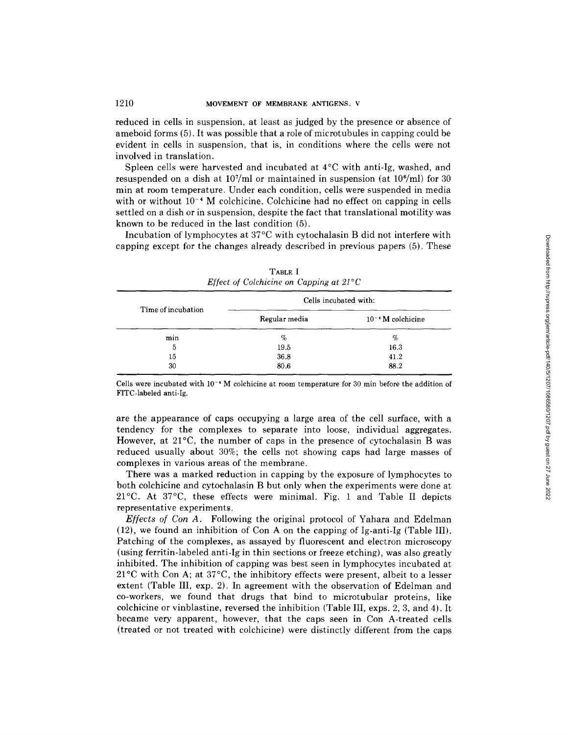reduced in cells in suspension, at least as judged by the presence or absence of ameboid forms (5). It was possible that a role of microtubules in capping could be evident in cells in suspension, that is, in conditions where the cells were not involved in translation.

Spleen cells were harvested and incubated at 4°C with anti-Ig, washed, and resuspended on a dish at  $10<sup>7</sup>/m$  or maintained in suspension (at  $10<sup>6</sup>/m$ ) for 30 min at room temperature. Under each condition, cells were suspended in media with or without  $10^{-4}$  M colchicine. Colchicine had no effect on capping in cells settled on a dish or in suspension, despite the fact that translational motility was known to be reduced in the last condition (5).

Incubation of lymphocytes at 37°C with cytochalasin B did not interfere with capping except for the changes already described in previous papers (5). These

|                    | Cells incubated with: |                        |  |  |
|--------------------|-----------------------|------------------------|--|--|
| Time of incubation | Regular media         | $10^{-4}$ M colchicine |  |  |
| min                | %                     | %                      |  |  |
| 5                  | 19.5                  | 16.3                   |  |  |
| 15                 | 36.8                  | 41.2                   |  |  |
| 30                 | 80.6                  | 88.2                   |  |  |

**TABLE I**  *Effect of Colchicine on Capping at 2I°C* 

Cells were incubated with  $10^{-4}$  M colchicine at room temperature for 30 min before the addition of FITC-labeled anti-Ig.

are the appearance of caps occupying a large area of the cell surface, with a tendency for the complexes to separate into loose, individual aggregates. However, at  $21^{\circ}$ C, the number of caps in the presence of cytochalasin B was reduced usually about 30%; the cells not showing caps had large masses of complexes in various areas of the membrane.

There was a marked reduction in capping by the exposure of lymphocytes to both colchicine and cytochalasin B but only when the experiments were done at 21°C. At 37°C, these effects were minimal. Fig. 1 and Table II depicts representative experiments.

*Effects of Con A.* Following the original protocol of Yahara and Edelman (12), we found an inhibition of Con A on the capping of Ig-anti-Ig (Table III). Patching of the complexes, as assayed by fluorescent and electron microscopy (using ferritin-labeled anti-Ig in thin sections or freeze etching), was also greatly inhibited. The inhibition of capping was best seen in lymphocytes incubated at 21<sup>o</sup>C with Con A; at  $37^{\circ}$ C, the inhibitory effects were present, albeit to a lesser extent (Table III, exp. 2). In agreement with the observation of Edelman and co-workers, we found that drugs that bind to microtubular proteins, like colchicine or vinblastine, reversed the inhibition (Table III, exps. 2, 3, and 4). It became very apparent, however, that the caps seen in Con A-treated cells (treated or not treated with colchicine) were distinctly different from the caps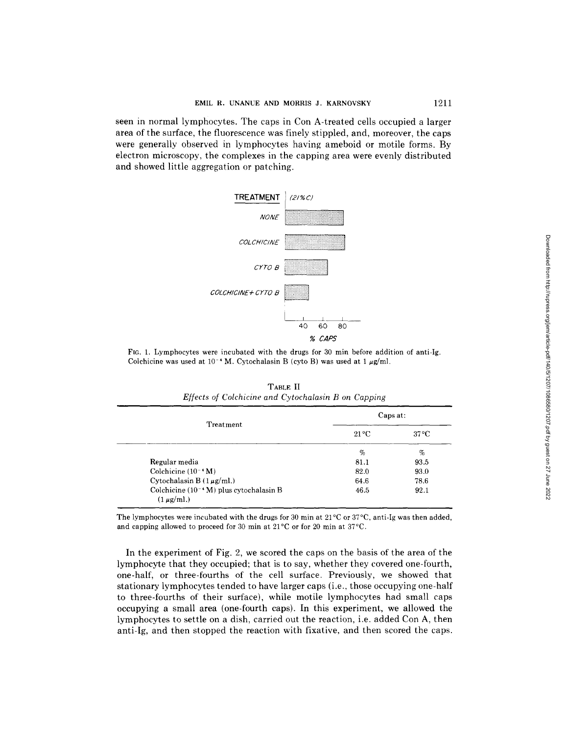seen in normal lymphocytes. The caps in Con A-treated cells occupied a larger area of the surface, the fluorescence was finely stippled, and, moreover, the caps were generally observed in lymphocytes having ameboid or motile forms. By electron microscopy, the complexes in the capping area were evenly distributed and showed little aggregation or patching.



FIG. 1. Lymphocytes were incubated with the drugs for 30 min before addition of anti-Ig. Colchicine was used at 10<sup>-4</sup> M. Cytochalasin B (cyto B) was used at 1  $\mu$ g/ml.

|                                                                 | Caps at:       |                |  |
|-----------------------------------------------------------------|----------------|----------------|--|
| Treatment                                                       | $21^{\circ}$ C | $37^{\circ}$ C |  |
|                                                                 | %              | $\%$           |  |
| Regular media                                                   | 81.1           | 93.5           |  |
| Colchicine $(10^{-4} M)$                                        | 82.0           | 93.0           |  |
| Cytochalasin B $(1 \mu g/ml.)$                                  | 64.6           | 78.6           |  |
| Colchicine $(10^{-4} M)$ plus cytochalasin B<br>$(1 \mu g/ml.)$ | 46.5           | 92.1           |  |

TABLE II *Effects of Colchicine and Cytochalasin B on Capping* 

The lymphocytes were incubated with the drugs for 30 min at  $21^{\circ}$ C or  $37^{\circ}$ C, anti-Ig was then added, and capping allowed to proceed for 30 min at  $21^{\circ}$ C or for 20 min at  $37^{\circ}$ C.

In the experiment of Fig. 2, we scored the caps on the basis of the area of the lymphocyte that they occupied; that is to say, whether they covered one-fourth, one-half, or three-fourths of the cell surface. Previously, we showed that stationary lymphocytes tended to have larger caps (i.e., those occupying one-half to three-fourths of their surface), while motile lymphocytes had small caps occupying a small area (one-fourth caps). In this experiment, we allowed the lymphocytes to settle on a dish, carried out the reaction, i.e. added Con A, then anti-Ig, and then stopped the reaction with fixative, and then scored the caps.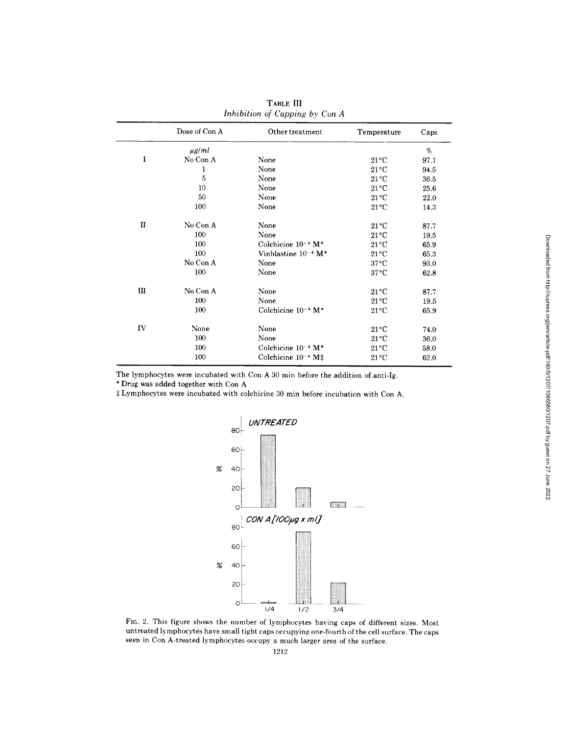|             | Dose of Con A | Other treatment                             | Temperature    | Caps |
|-------------|---------------|---------------------------------------------|----------------|------|
|             | $\mu$ g/ml    |                                             |                | $\%$ |
| $\mathbf I$ | No Con A      | None                                        | $21^{\circ}$ C | 97.1 |
|             | 1             | None                                        | $21^{\circ}$ C | 94.5 |
|             | 5             | None                                        | $21^{\circ}$ C | 36.5 |
|             | 10            | None                                        | $21^{\circ}$ C | 25.6 |
|             | 50            | None                                        | $21^{\circ}$ C | 22.0 |
|             | 100           | None                                        | $21^{\circ}$ C | 14.3 |
| $_{II}$     | No Con A      | None                                        | $21^{\circ}$ C | 87.7 |
|             | 100           | None                                        | $21^{\circ}$ C | 19.5 |
|             | 100           | Colchicine 10 <sup>-4</sup> M <sup>*</sup>  | $21^{\circ}$ C | 65.9 |
|             | 100           | Vinblastine 10 <sup>-4</sup> M <sup>*</sup> | $21^{\circ}$ C | 65.3 |
|             | No Con A      | None                                        | $37^{\circ}$ C | 93.0 |
|             | 100           | None                                        | $37^{\circ}$ C | 62.8 |
| Ш           | No Con A      | None                                        | $21^{\circ}$ C | 87.7 |
|             | 100           | None                                        | $21^{\circ}$ C | 19.5 |
|             | 100           | Colchicine 10-4 M*                          | $21^{\circ}$ C | 65.9 |
| IV          | None          | None                                        | $21^{\circ}$ C | 74.0 |
|             | 100           | None                                        | $21^{\circ}$ C | 36.0 |
|             | 100           | Colchicine 10 <sup>-4</sup> M <sup>*</sup>  | $21^{\circ}$ C | 58.0 |
|             | 100           | Colchicine 10 <sup>-4</sup> M‡              | $21^{\circ}$ C | 62.0 |

**TABLE** III *Inhibition of Capping by Con A* 

The lymphocytes were incubated with Con A 30 min before the addition of anti-Ig.

\* Drug was added together with Con A

\$ Lymphocytes were incubated with colchicine 30 min before incubation with Con A.



FIG. 2. This figure shows the number of lymphocytes having caps of different sizes. Most untreated lymphocytes have small tight caps occupying one-fourth of the cell surface. The caps seen in Con A-treated lymphocytes occupy a much larger area of the surface.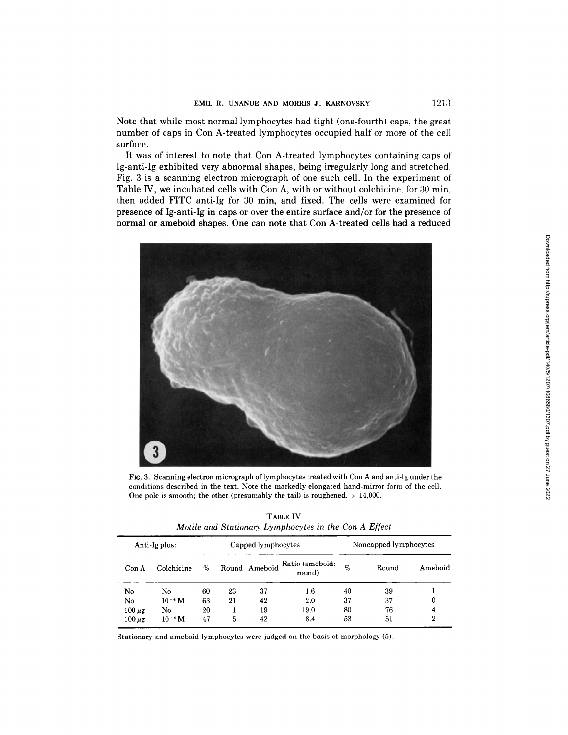Note that while most normal lymphocytes had tight (one-fourth) caps, the great number of caps in Con A-treated lymphocytes occupied half or more of the cell surface.

It was of interest to note that Con A-treated lymphocytes containing caps of Ig-anti-Ig exhibited very abnormal shapes, being irregularly long and stretched. Fig. 3 is a scanning electron micrograph of one such cell. In the experiment of Table IV, we incubated cells with Con A, with or without colchicine, for 30 min, then added FITC anti-Ig for 30 min, and fixed. The cells were examined for presence of Ig-anti-Ig in caps or over the entire surface and/or for the presence of normal or ameboid shapes. One can note that Con A-treated cells had a reduced



FIG. 3. Scanning electron micrograph of lymphocytes treated with Con A and anti-Ig under the conditions described in the text. Note the markedly elongated hand-mirror form of the cell. One pole is smooth; the other (presumably the tail) is roughened.  $\times$  14,000.

|             |               | Motile and Stationary Lymphocytes in the Con A Effect |    |                                             |                           |         |       |         |  |
|-------------|---------------|-------------------------------------------------------|----|---------------------------------------------|---------------------------|---------|-------|---------|--|
|             | Anti-Ig plus: |                                                       |    | Noncapped lymphocytes<br>Capped lymphocytes |                           |         |       |         |  |
| Con A       | Colchicine    | $\%$                                                  |    | Round Ameboid                               | Ratio (ameboid:<br>round) | $Q_{n}$ | Round | Ameboid |  |
| No          | No            | 60                                                    | 23 | 37                                          | $1.6\,$                   | 40      | 39    |         |  |
| No          | $10^{-4}$ M   | 63                                                    | 21 | 42                                          | 2.0                       | 37      | 37    | 0       |  |
| $100 \mu g$ | No            | 20                                                    |    | 19                                          | 19.0                      | 80      | 76    | 4       |  |
| $100 \mu$ g | $10^{-4} M$   | 47                                                    | 5  | 42                                          | 8.4                       | 53      | 51    | 2       |  |

TABLE IV *Motile and Stationary Lymphocytes in the Con A Effect* 

Stationary and ameboid lymphocytes were judged on the basis of morphology (5).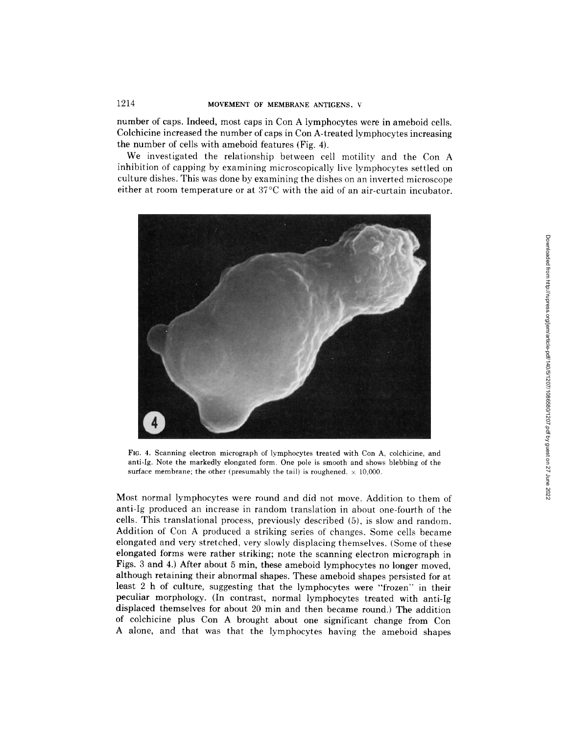number of caps. Indeed, most caps in Con A lymphocytes were in ameboid cells. Colchicine increased the number of caps in Con A-treated lymphocytes increasing the number of cells with ameboid features (Fig. 4).

We investigated the relationship between cell motility and the Con A inhibition of capping by examining microscopically live lymphocytes settled on culture dishes. This was done by examining the dishes on an inverted microscope either at room temperature or at 37°C with the aid of an air-curtain incubator.



FIG. 4. Scanning electron micrograph of lymphocytes treated with Con A, colchicine, and anti-Ig. Note the markedly elongated form. One pole is smooth and shows blebbing of the surface membrane; the other (presumably the tail) is roughened.  $\times$  10,000.

Most normal lymphocytes were round and did not move. Addition to them of anti-Ig produced an increase in random translation in about one-fourth of the cells. This translational process, previously described (5), is slow and random. Addition of Con A produced a striking series of changes. Some cells became elongated and very stretched, very slowly displacing themselves. (Some of these elongated forms were rather striking; note the scanning electron mierograph in Figs. 3 and 4.) After about 5 min, these ameboid lymphoeytes no longer moved, although retaining their abnormal shapes. These ameboid shapes persisted for at least 2 h of culture, suggesting that the lymphocytes were "frozen" in their peculiar morphology. (In contrast, normal lymphocytes treated with anti-Ig displaced themselves for about 20 min and then became round.) The addition of eolchicine plus Con A brought about one significant change from Con A alone, and that was that the lymphocytes having the ameboid shapes

Downloaded from http://rupress.org/jem/article-pdf/140/5/1207/1086580/1207.pdf by guest on 27 June 2022 Downloaded from http://rupress.org/jem/article-pdf/140/5/1207/1086580/1207.pdf by guest on 27 June 2022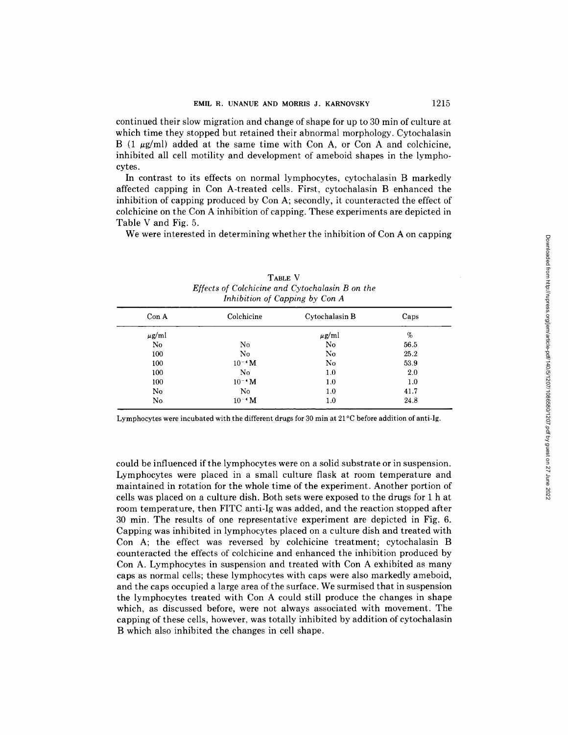continued their slow migration and change of shape for up to 30 min of culture at which time they stopped but retained their abnormal morphology. Cytochalasin B (1  $\mu$ g/ml) added at the same time with Con A, or Con A and colchicine, inhibited all cell motility and development of ameboid shapes in the lymphocytes.

In contrast to its effects on normal lymphocytes, cytochalasin B markedly affected capping in Con A-treated cells. First, cytochalasin B enhanced the inhibition of capping produced by Con A; secondly, it counteracted the effect of colchicine on the Con A inhibition of capping. These experiments are depicted in Table V and Fig. 5.

We were interested in determining whether the inhibition of Con A on capping

| Con A      | Colchicine     | Cytochalasin B | Caps |
|------------|----------------|----------------|------|
| $\mu$ g/ml |                | $\mu$ g/ml     | $\%$ |
| No         | No             | No             | 56.5 |
| 100        | N <sub>0</sub> | No             | 25.2 |
| 100        | $10^{-4} M$    | No             | 53.9 |
| 100        | No             | 1.0            | 2.0  |
| 100        | $10^{-4}$ M    | 1.0            | 1.0  |
| No         | N <sub>0</sub> | 1.0            | 41.7 |
| No         | $10^{-4} M$    | 1.0            | 24.8 |

TABLE V *Effects of Colchicine and Cytochalasin B on the Inhibition of Capping by Con A* 

Lymphocytes were incubated with the different drugs for 30 min at 21°C before addition of anti-Ig.

could be influenced if the lymphocytes were on a solid substrate or in suspension. Lymphocytes were placed in a small culture flask at room temperature and maintained in rotation for the whole time of the experiment. Another portion of cells was placed on a culture dish. Both sets were exposed to the drugs for 1 h at room temperature, then FITC anti-Ig was added, and the reaction stopped after 30 min. The results of one representative experiment are depicted in Fig. 6. Capping was inhibited in lymphocytes placed on a culture dish and treated with Con A; the effect was reversed by colchicine treatment; cytochalasin B counteracted the effects of colchicine and enhanced the inhibition produced by Con A. Lymphocytes in suspension and treated with Con A exhibited as many caps as normal cells; these lymphocytes with caps were also markedly ameboid, and the caps occupied a large area of the surface. We surmised that in suspension the lymphocytes treated with Con A could still produce the changes in shape which, as discussed before, were not always associated with movement. The capping of these cells, however, was totally inhibited by addition of cytochalasin B which also inhibited the changes in cell shape.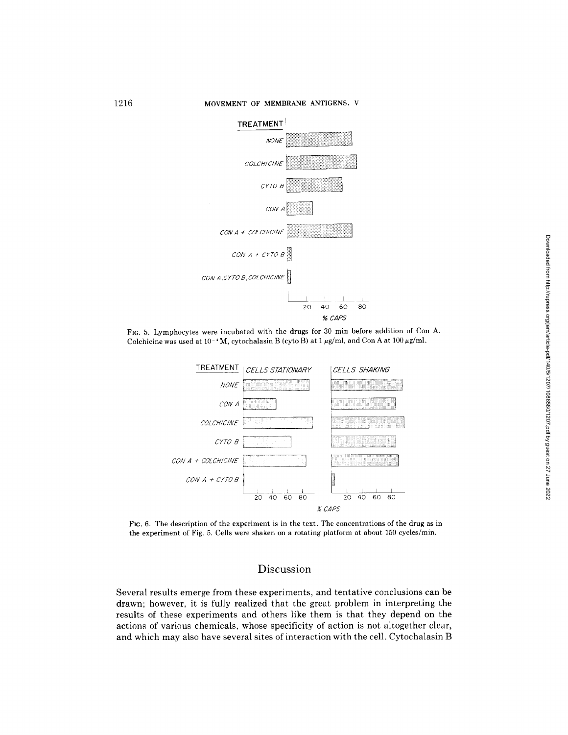#### 1216 **MOVEMENT OF MEMBRANE ANTIGENS. V**







FIG. 6. The description of the experiment is in the text. The concentrations of the drug as in the experiment of Fig. 5. Cells were shaken on a rotating platform at about 150 cycles/min.

## **Discussion**

Several results emerge from these experiments, and tentative conclusions can be drawn; however, it is fully realized that the great problem in interpreting the results of these experiments and others like them is that they depend on the actions of various chemicals, whose specificity of action is not altogether clear, and which may also have several sites of interaction with the cell. Cytochalasin B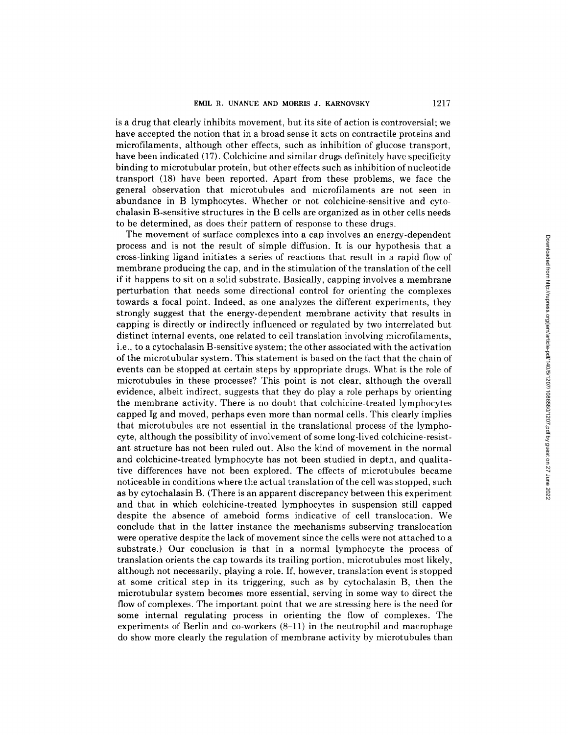is a drug that clearly inhibits movement, but its site of action is controversial; we have accepted the notion that in a broad sense it acts on contractile proteins and microfilaments, although other effects, such as inhibition of glucose transport, have been indicated (17). Colchicine and similar drugs definitely have specificity binding to microtubular protein, but other effects such as inhibition of nucleotide transport (18) have been reported. Apart from these problems, we face the general observation that microtubules and microfilaments are not seen in abundance in B lymphocytes. Whether or not colchicine-sensitive and cytochalasin B-sensitive structures in the B cells are organized as in other cells needs to be determined, as does their pattern of response to these drugs.

The movement of surface complexes into a cap involves an energy-dependent process and is not the result of simple diffusion. It is our hypothesis that a cross-linking ligand initiates a series of reactions that result in a rapid flow of membrane producing the cap, and in the stimulation of the translation of the cell if it happens to sit on a solid substrate. Basically, capping involves a membrane perturbation that needs some directional control for orienting the complexes towards a focal point. Indeed, as one analyzes the different experiments, they strongly suggest that the energy-dependent membrane activity that results in capping is directly or indirectly influenced or regulated by two interrelated but distinct internal events, one related to cell translation involving microfilaments, i.e., to a cytochalasin B-sensitive system; the other associated with the activation of the microtubular system. This statement is based on the fact that the chain of events can be stopped at certain steps by appropriate drugs. What is the role of microtubules in these processes? This point is not clear, although the overall evidence, albeit indirect, suggests that they do play a role perhaps by orienting the membrane activity. There is no doubt that colchicine-treated lymphocytes capped Ig and moved, perhaps even more than normal cells. This clearly implies that microtubules are not essential in the translational process of the lymphocyte, although the possibility of involvement of some long-lived colchicine-resistant structure has not been ruled out. Also the kind of movement in the normal and colchicine-treated lymphocyte has not been studied in depth, and qualitative differences have not been explored. The effects of microtubules became noticeable in conditions where the actual translation of the cell was stopped, such as by cytochalasin B. (There is an apparent discrepancy between this experiment and that in which colchicine-treated lymphocytes in suspension still capped despite the absence of ameboid forms indicative of cell translocation. We conclude that in the latter instance the mechanisms subserving translocation were operative despite the lack of movement since the cells were not attached to a substrate.) Our conclusion is that in a normal lymphocyte the process of translation orients the cap towards its trailing portion, microtubules most likely, although not necessarily, playing a role. If, however, translation event is stopped at some critical step in its triggering, such as by cytochalasin B, then the microtubular system becomes more essential, serving in some way to direct the flow of complexes. The important point that we are stressing here is the need for some internal regulating process in orienting the flow of complexes. The experiments of Berlin and co-workers (8-11) in the neutrophil and macrophage do show more clearly the regulation of membrane activity by microtubules than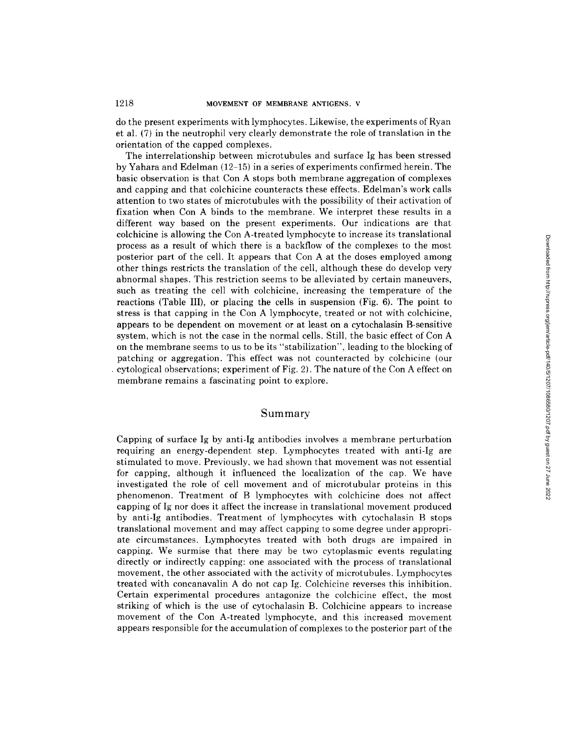do the present experiments with lymphocytes. Likewise, the experiments of Ryan et al. (7) in the neutrophil very clearly demonstrate the role of translation in the orientation of the capped complexes.

The interrelationship between microtubules and surface Ig has been stressed by Yahara and Edelman (12-15) in a series of experiments confirmed herein. The basic observation is that Con A stops both membrane aggregation of complexes and capping and that colchicine counteracts these effects. Edelman's work calls attention to two states of microtubules with the possibility of their activation of fixation when Con A binds to the membrane. We interpret these results in a different way based on the present experiments. Our indications are that colchicine is allowing the Con A-treated lymphocyte to increase its translational process as a result of which there is a backflow of the complexes to the most posterior part of the cell. It appears that Con A at the doses employed among other things restricts the translation of the cell, although these do develop very abnormal shapes. This restriction seems to be alleviated by certain maneuvers, such as treating the cell with colchicine, increasing the temperature of the reactions (Table III), or placing the cells in suspension (Fig. 6). The point to stress is that capping in the Con A lymphocyte, treated or not with colchicine, appears to be dependent on movement or at least on a cytochalasin B-sensitive system, which is not the case in the normal cells. Still, the basic effect of Con A on the membrane seems to us to be its "stabilization", leading to the blocking of patching or aggregation. This effect was not counteracted by colchicine (our • cytological observations; experiment of Fig. 2). The nature of the Con A effect on membrane remains a fascinating point to explore.

#### Summary

Capping of surface Ig by anti-Ig antibodies involves a membrane perturbation requiring an energy-dependent step. Lymphocytes treated with anti-Ig are stimulated to move. Previously, we had shown that movement was not essential for capping, although it influenced the localization of the cap. We have investigated the role of cell movement and of microtubular proteins in this phenomenon. Treatment of B lymphocytes with colchicine does not affect capping of Ig nor does it affect the increase in translational movement produced by anti-Ig antibodies. Treatment of lymphocytes with cytochalasin B stops translational movement and may affect capping to some degree under appropriate circumstances. Lymphocytes treated with both drugs are impaired in capping. We surmise that there may be two cytoplasmic events regulating directly or indirectly capping: one associated with the process of translational movement, the other associated with the activity of microtubules. Lymphocytes treated with concanavalin A do not cap Ig. Colchicine reverses this inhibition. Certain experimental procedures antagonize the colchicine effect, the most striking of which is the use of cytochalasin B. Colchicine appears to increase movement of the Con A-treated lymphocyte, and this increased movement appears responsible for the accumulation of complexes to the posterior part of the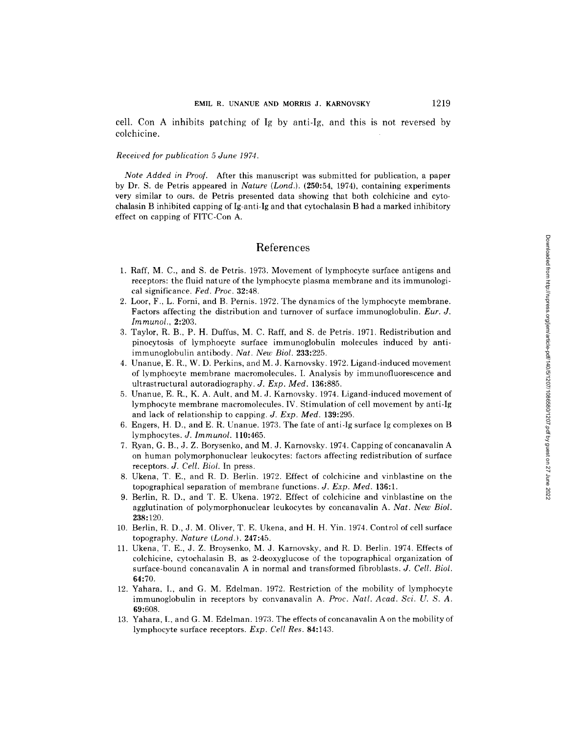cell. Con A inhibits patching of Ig by anti-Ig, and this is not reversed by colchicine.

#### *Received for publication 5 June 1974.*

*Note Added in Proof.* After this manuscript was submitted for publication, a paper by Dr. S. de Petris appeared in *Nature (Lond.).* (250:54, 1974), containing experiments very similar to ours. de Petris presented data showing that both colchicine and cytochalasin B inhibited capping of Ig-anti-Ig and that cytochalasin B had a marked inhibitory effect on capping of FITC-Con A.

## **References**

- 1. Raft, M. C., and S. de Petris. 1973. Movement of lymphocyte surface antigens and receptors: the fluid nature of the lymphocyte plasma membrane and its immunological significance. *Fed. Proc.* 32:48.
- 2. Loor, F., L. Forni, and B. Pernis. 1972. The dynamics of the lymphocyte membrane. Factors affecting the distribution and turnover of surface immunoglobulin. *Eur. J. Immunol.,* 2:203.
- 3. Taylor, R. B., P. H. Duffus, M. C. Raft, and S. de Petris. 1971. Redistribution and pinocytosis of lymphocyte surface immunoglobulin molecules induced by antiimmunoglobulin antibody. *Nat. New Biol.* 233:225.
- 4. Unanue, E. R., W. D. Perkins, and M. J. Karnovsky. 1972. Ligand-induced movement of lymphocyte membrane macromolecules. I. Analysis by immunofluorescence and ultrastructural autoradiography. *J. Exp. Med.* 136:885.
- 5. Unanue, E. R., K. A. Ault, and M. J. Karnovsky. 1974. Ligand-induced movement of lymphocyte membrane macromolecules. IV. Stimulation of cell movement by anti-Ig and lack of relationship to capping. *J. Exp. Med.* 139:295.
- 6. Engers, H. D., and E. R. Unanue. 1973. The fate of anti-Ig surface Ig complexes on B lymphocytes. *J. Immunol.* 110:465.
- 7. Ryan, G. B., J. Z. Borysenko, and M. J. Karnovsky. 1974. Capping of concanavalin A on human polymorphonuclear leukocytes: factors affecting redistribution of surface receptors. *J. Cell. Biol.* In press.
- 8. Ukena, T. E., and R. D. Berlin. 1972. Effect of colchicine and vinblastine on the topographical separation of membrane functions. *J. Exp. Med.* 136:1.
- 9. Berlin, R. D., and T. E. Ukena. 1972. Effect of colchicine and vinblastine on the agglutination of polymorphonuclear leukocytes by concanavalin A. *Nat. New Biol.*  **238:120.**
- 10. Berlin, R. D., J. M. Oliver, T. E. Ukena, and H. H. Yin. 1974. Control of cell surface topography. *Nature (Lond.).* 247:45.
- 11. Ukena, T. E., J. Z. Broysenko, M. J. Karnovsky, and R. D. Berlin. 1974. Effects of colchicine, cytochalasin B, as 2-deoxyglucose of the topographical organization of surface-bound concanavalin A in normal and transformed fibroblasts. *J. Cell. Biol.*  64:70.
- 12. Yahara, I., and G. M. Edelman. 1972. Restriction of the mobility of lymphocyte immunoglobulin in receptors by convanavalin A. *Proc. Natl. Acad. Sci. U. S. A.*  69:608.
- 13. Yahara, I., and G. M. Edelman. 1973. The effects of concanavalin A on the mobility of lymphocyte surface receptors. *Exp. Cell Res.* 84:143.